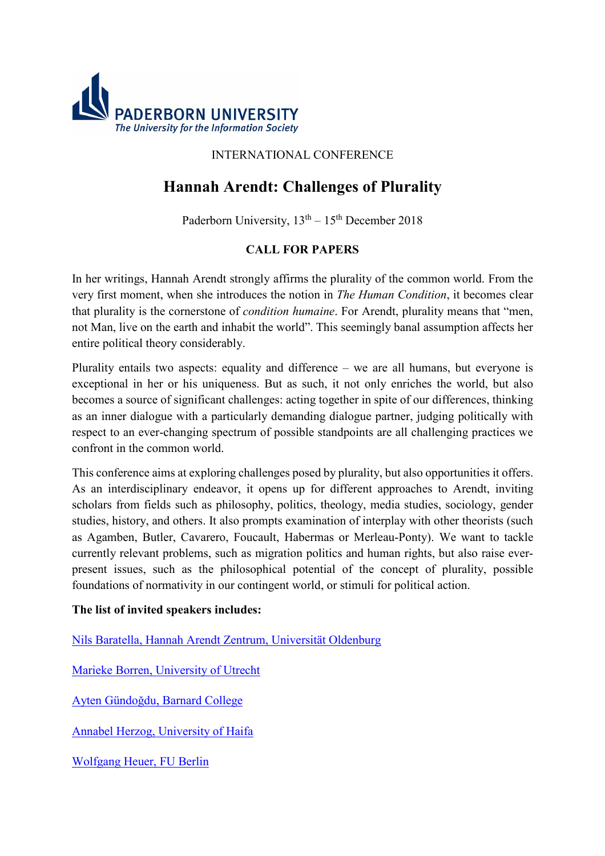

## INTERNATIONAL CONFERENCE

# **Hannah Arendt: Challenges of Plurality**

Paderborn University,  $13<sup>th</sup> - 15<sup>th</sup>$  December 2018

## **CALL FOR PAPERS**

In her writings, Hannah Arendt strongly affirms the plurality of the common world. From the very first moment, when she introduces the notion in *The Human Condition*, it becomes clear that plurality is the cornerstone of *condition humaine*. For Arendt, plurality means that "men, not Man, live on the earth and inhabit the world". This seemingly banal assumption affects her entire political theory considerably.

Plurality entails two aspects: equality and difference – we are all humans, but everyone is exceptional in her or his uniqueness. But as such, it not only enriches the world, but also becomes a source of significant challenges: acting together in spite of our differences, thinking as an inner dialogue with a particularly demanding dialogue partner, judging politically with respect to an ever-changing spectrum of possible standpoints are all challenging practices we confront in the common world.

This conference aims at exploring challenges posed by plurality, but also opportunities it offers. As an interdisciplinary endeavor, it opens up for different approaches to Arendt, inviting scholars from fields such as philosophy, politics, theology, media studies, sociology, gender studies, history, and others. It also prompts examination of interplay with other theorists (such as Agamben, Butler, Cavarero, Foucault, Habermas or Merleau-Ponty). We want to tackle currently relevant problems, such as migration politics and human rights, but also raise everpresent issues, such as the philosophical potential of the concept of plurality, possible foundations of normativity in our contingent world, or stimuli for political action.

### **The list of invited speakers includes:**

Nils Baratella, Hannah Arendt Zentrum, Universität Oldenburg

Marieke Borren, University of Utrecht

Ayten Gündoğdu, Barnard College

Annabel Herzog, University of Haifa

Wolfgang Heuer, FU Berlin